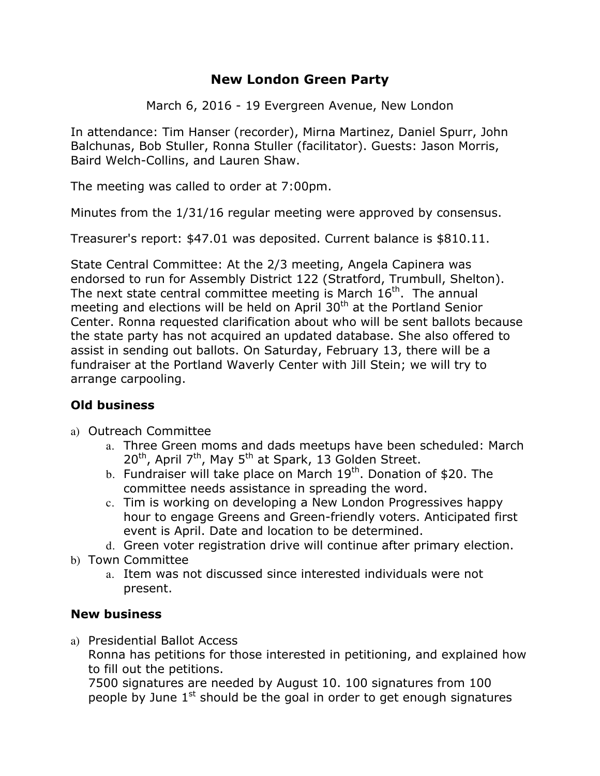# **New London Green Party**

March 6, 2016 - 19 Evergreen Avenue, New London

In attendance: Tim Hanser (recorder), Mirna Martinez, Daniel Spurr, John Balchunas, Bob Stuller, Ronna Stuller (facilitator). Guests: Jason Morris, Baird Welch-Collins, and Lauren Shaw.

The meeting was called to order at 7:00pm.

Minutes from the 1/31/16 regular meeting were approved by consensus.

Treasurer's report: \$47.01 was deposited. Current balance is \$810.11.

State Central Committee: At the 2/3 meeting, Angela Capinera was endorsed to run for Assembly District 122 (Stratford, Trumbull, Shelton). The next state central committee meeting is March  $16<sup>th</sup>$ . The annual meeting and elections will be held on April  $30<sup>th</sup>$  at the Portland Senior Center. Ronna requested clarification about who will be sent ballots because the state party has not acquired an updated database. She also offered to assist in sending out ballots. On Saturday, February 13, there will be a fundraiser at the Portland Waverly Center with Jill Stein; we will try to arrange carpooling.

### **Old business**

- a) Outreach Committee
	- a. Three Green moms and dads meetups have been scheduled: March  $20^{th}$ , April 7<sup>th</sup>, May 5<sup>th</sup> at Spark, 13 Golden Street.
	- b. Fundraiser will take place on March  $19<sup>th</sup>$ . Donation of \$20. The committee needs assistance in spreading the word.
	- c. Tim is working on developing a New London Progressives happy hour to engage Greens and Green-friendly voters. Anticipated first event is April. Date and location to be determined.
	- d. Green voter registration drive will continue after primary election.
- b) Town Committee
	- a. Item was not discussed since interested individuals were not present.

#### **New business**

a) Presidential Ballot Access

Ronna has petitions for those interested in petitioning, and explained how to fill out the petitions.

7500 signatures are needed by August 10. 100 signatures from 100 people by June  $1<sup>st</sup>$  should be the goal in order to get enough signatures